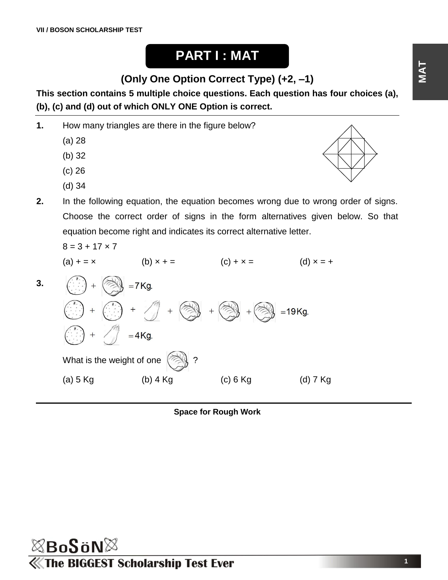## **PART I : MAT**

**(Only One Option Correct Type) (+2, –1)**

**This section contains 5 multiple choice questions. Each question has four choices (a), (b), (c) and (d) out of which ONLY ONE Option is correct.**

**1.** How many triangles are there in the figure below?

- (a) 28
- (b) 32
- (c) 26
- (d) 34
- **2.** In the following equation, the equation becomes wrong due to wrong order of signs. Choose the correct order of signs in the form alternatives given below. So that equation become right and indicates its correct alternative letter.

$$
8 = 3 + 17 \times 7
$$

(a) 
$$
+ = \times
$$
 (b)  $\times + =$  (c)  $+\times =$  (d)  $\times = +$   
\n3.  $\left(\begin{matrix} x \\ y \end{matrix}\right) + \left(\begin{matrix} 0 \\ y \end{matrix}\right) + \left(\begin{matrix} 1 \\ y \end{matrix}\right) + \left(\begin{matrix} 0 \\ y \end{matrix}\right) + \left(\begin{matrix} 0 \\ y \end{matrix}\right) + \left(\begin{matrix} 0 \\ y \end{matrix}\right) + \left(\begin{matrix} 0 \\ y \end{matrix}\right) + \left(\begin{matrix} 0 \\ y \end{matrix}\right) + \left(\begin{matrix} 0 \\ y \end{matrix}\right) + \left(\begin{matrix} 0 \\ y \end{matrix}\right) + \left(\begin{matrix} 0 \\ y \end{matrix}\right) + \left(\begin{matrix} 0 \\ y \end{matrix}\right) + \left(\begin{matrix} 0 \\ y \end{matrix}\right) + \left(\begin{matrix} 0 \\ y \end{matrix}\right) + \left(\begin{matrix} 0 \\ y \end{matrix}\right) + \left(\begin{matrix} 0 \\ y \end{matrix}\right) + \left(\begin{matrix} 0 \\ y \end{matrix}\right) + \left(\begin{matrix} 0 \\ y \end{matrix}\right) + \left(\begin{matrix} 0 \\ y \end{matrix}\right) + \left(\begin{matrix} 0 \\ y \end{matrix}\right) + \left(\begin{matrix} 0 \\ y \end{matrix}\right) + \left(\begin{matrix} 0 \\ y \end{matrix}\right) + \left(\begin{matrix} 0 \\ y \end{matrix}\right) + \left(\begin{matrix} 0 \\ y \end{matrix}\right) + \left(\begin{matrix} 0 \\ y \end{matrix}\right) + \left(\begin{matrix} 0 \\ y \end{matrix}\right) + \left(\begin{matrix} 0 \\ y \end{matrix}\right) + \left(\begin{matrix} 0 \\ y \end{matrix}\right) + \left(\begin{matrix} 0 \\ y \end{matrix}\right) + \left(\begin{matrix} 0 \\ y \end{matrix}\right) + \left(\begin{matrix} 0 \\ y \end{matrix}\right) + \left(\begin{matrix} 0 \\ y \end{matrix}\right) + \left(\begin{matrix} 0 \\ y \end{matrix}\right) + \left(\begin{matrix} 0 \\ y \end{matrix}\right) + \left(\begin{matrix} 0 \\ y \end{matrix}\right) + \left(\begin{matrix} 0 \\ y \end{matrix}\right) + \left(\begin{matrix} 0 \\ y \end{matrix}\right) + \left(\begin{matrix} 0$ 



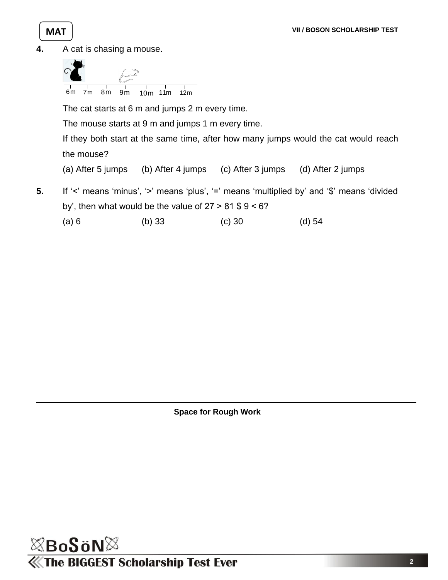

**4.** A cat is chasing a mouse.



(a) 6 (b) 33 (c) 30 (d) 54

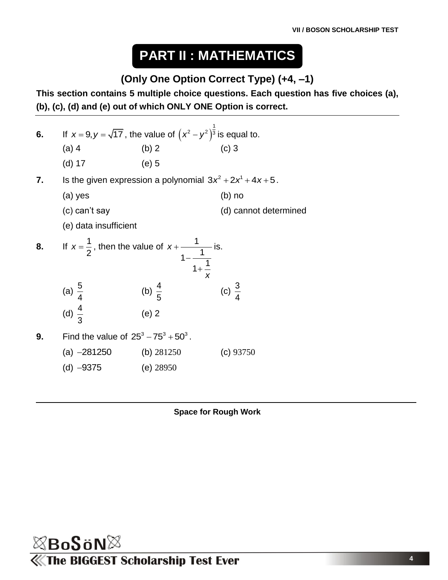# **PART II : MATHEMATICS**

#### **(Only One Option Correct Type) (+4, –1)**

**This section contains 5 multiple choice questions. Each question has five choices (a), (b), (c), (d) and (e) out of which ONLY ONE Option is correct.**

| 6. |                                                                                              | If $x = 9, y = \sqrt{17}$ , the value of $(x^2 - y^2)^{\frac{1}{3}}$ is equal to. |                       |  |  |  |
|----|----------------------------------------------------------------------------------------------|-----------------------------------------------------------------------------------|-----------------------|--|--|--|
|    | $(a)$ 4                                                                                      | (b) 2                                                                             | $(c)$ 3               |  |  |  |
|    | $(d)$ 17                                                                                     | $(e)$ 5                                                                           |                       |  |  |  |
| 7. |                                                                                              | Is the given expression a polynomial $3x^2 + 2x^1 + 4x + 5$ .                     |                       |  |  |  |
|    | (a) yes                                                                                      |                                                                                   | $(b)$ no              |  |  |  |
|    | (c) can't say                                                                                |                                                                                   | (d) cannot determined |  |  |  |
|    | (e) data insufficient                                                                        |                                                                                   |                       |  |  |  |
| 8. | If $x = \frac{1}{2}$ , then the value of $x + \frac{1}{1 - \frac{1}{1 + \frac{1}{x^2}}}$ is. |                                                                                   |                       |  |  |  |
|    | (a) $\frac{5}{4}$<br>(d) $\frac{4}{3}$                                                       | (b) $\frac{4}{5}$                                                                 | (c) $\frac{3}{4}$     |  |  |  |
|    |                                                                                              | $(e)$ 2                                                                           |                       |  |  |  |
| 9. | Find the value of $25^3 - 75^3 + 50^3$ .                                                     |                                                                                   |                       |  |  |  |
|    | (a) $-281250$ (b) $281250$                                                                   |                                                                                   | (c) 93750             |  |  |  |
|    | (d) $-9375$                                                                                  | (e) $28950$                                                                       |                       |  |  |  |

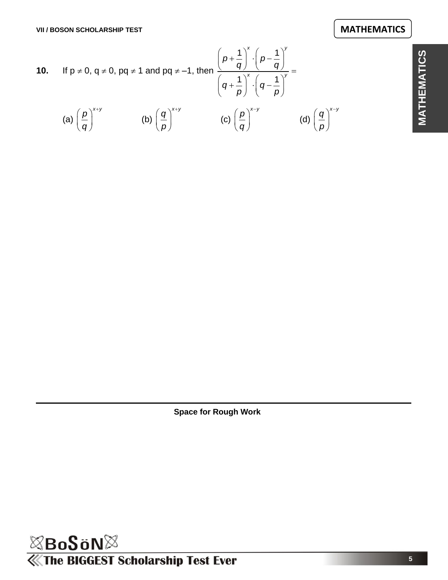**MATHEMATICS**

**MATHEMATICS** 

**10.** If 
$$
p \ne 0
$$
,  $q \ne 0$ ,  $pq \ne 1$  and  $pq \ne -1$ , then 
$$
\frac{\left(p + \frac{1}{q}\right)^{x} \cdot \left(p - \frac{1}{q}\right)^{y}}{\left(q + \frac{1}{p}\right)^{x} \cdot \left(q - \frac{1}{p}\right)^{y}} =
$$
  
(a)  $\left(\frac{p}{q}\right)^{x+y}$  (b)  $\left(\frac{q}{p}\right)^{x+y}$  (c)  $\left(\frac{p}{q}\right)^{x-y}$  (d)  $\left(\frac{q}{p}\right)^{x-y}$ 

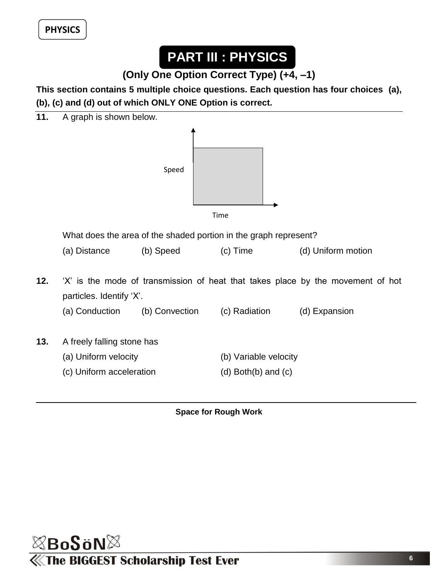**PHYSICS** *VIII**BOSON* **SCHOLARSHIP TESTING SCHOOLARSHIP TESTING SCHOOLARSHIP TESTING SCHOOLARSHIP TESTING SCHOOLARSHIP TESTING SCHOOLARSHIP TESTING SCHOOLARSHIP TESTING SCHOOLARSHIP TESTING SCHOOLARSHIP TESTING SCHOOLAR** 

# **PART III : PHYSICS**

**(Only One Option Correct Type) (+4, –1)**

**This section contains 5 multiple choice questions. Each question has four choices (a), (b), (c) and (d) out of which ONLY ONE Option is correct.**



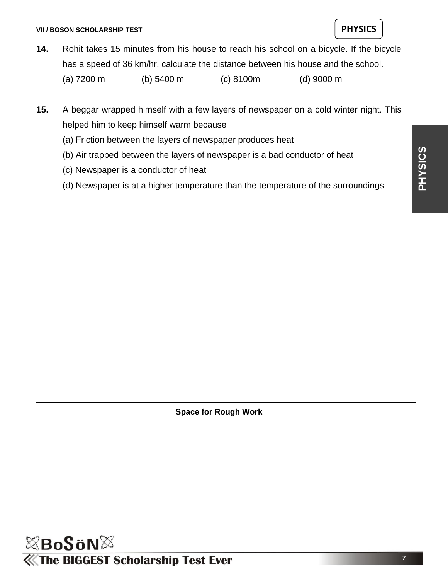

**14.** Rohit takes 15 minutes from his house to reach his school on a bicycle. If the bicycle has a speed of 36 km/hr, calculate the distance between his house and the school.

(a) 7200 m (b) 5400 m (c) 8100m (d) 9000 m

- **15.** A beggar wrapped himself with a few layers of newspaper on a cold winter night. This helped him to keep himself warm because
	- (a) Friction between the layers of newspaper produces heat
	- (b) Air trapped between the layers of newspaper is a bad conductor of heat
	- (c) Newspaper is a conductor of heat
	- (d) Newspaper is at a higher temperature than the temperature of the surroundings

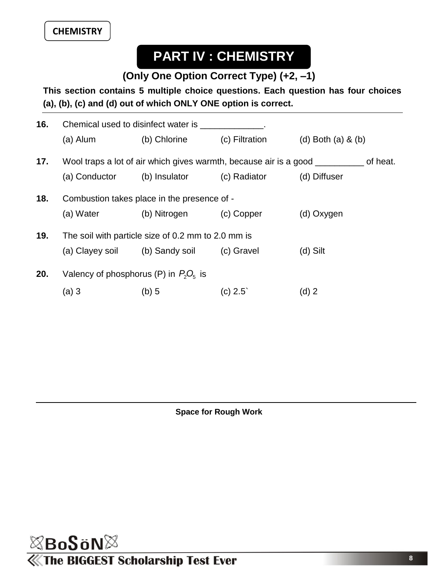## **PART IV : CHEMISTRY**

**(Only One Option Correct Type) (+2, –1)**

**This section contains 5 multiple choice questions. Each question has four choices (a), (b), (c) and (d) out of which ONLY ONE option is correct.**

| 16. | Chemical used to disinfect water is example.                                             |                                           |                |                      |  |  |
|-----|------------------------------------------------------------------------------------------|-------------------------------------------|----------------|----------------------|--|--|
|     | (a) Alum                                                                                 | (b) Chlorine                              | (c) Filtration | (d) Both (a) $&$ (b) |  |  |
| 17. | Wool traps a lot of air which gives warmth, because air is a good <u>second</u> of heat. |                                           |                |                      |  |  |
|     |                                                                                          | (a) Conductor (b) Insulator (c) Radiator  |                | (d) Diffuser         |  |  |
| 18. | Combustion takes place in the presence of -                                              |                                           |                |                      |  |  |
|     | (a) Water                                                                                | (b) Nitrogen                              | (c) Copper     | (d) Oxygen           |  |  |
| 19. | The soil with particle size of 0.2 mm to 2.0 mm is                                       |                                           |                |                      |  |  |
|     |                                                                                          | (a) Clayey soil (b) Sandy soil (c) Gravel |                | $(d)$ Silt           |  |  |
| 20. | Valency of phosphorus (P) in $P_2O_5$ is                                                 |                                           |                |                      |  |  |
|     | (a) 3                                                                                    | $(b)$ 5                                   | $(c)$ 2.5      | $(d)$ 2              |  |  |